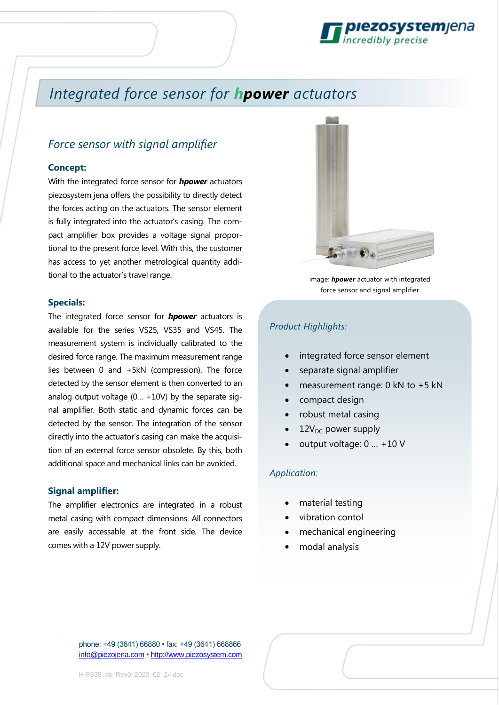

# *Integrated force sensor for hpower actuators*

## *Force sensor with signal amplifier*

#### **Concept:**

With the integrated force sensor for *hpower* actuators piezosystem jena offers the possibility to directly detect the forces acting on the actuators. The sensor element is fully integrated into the actuator's casing. The compact amplifier box provides a voltage signal proportional to the present force level. With this, the customer has access to yet another metrological quantity additional to the actuator's travel range.

#### **Specials:**

The integrated force sensor for *hpower* actuators is available for the series VS25, VS35 and VS45. The measurement system is individually calibrated to the desired force range. The maximum measurement range lies between 0 and +5kN (compression). The force detected by the sensor element is then converted to an analog output voltage (0… +10V) by the separate signal amplifier. Both static and dynamic forces can be detected by the sensor. The integration of the sensor directly into the actuator's casing can make the acquisition of an external force sensor obsolete. By this, both additional space and mechanical links can be avoided.

#### **Signal amplifier:**

The amplifier electronics are integrated in a robust metal casing with compact dimensions. All connectors are easily accessable at the front side. The device comes with a 12V power supply.



image: *hpower* actuator with integrated force sensor and signal amplifier

### *Product Highlights:*

- integrated force sensor element
- separate signal amplifier
- measurement range: 0 kN to +5 kN
- compact design
- robust metal casing
- $12V<sub>DC</sub>$  power supply
- output voltage: 0 … +10 V

#### *Application:*

- material testing
- vibration contol
- mechanical engineering
- modal analysis

phone: +49 (3641) 66880 • fax: +49 (3641) 668866 info@piezojena.com • http://www.piezosystem.com